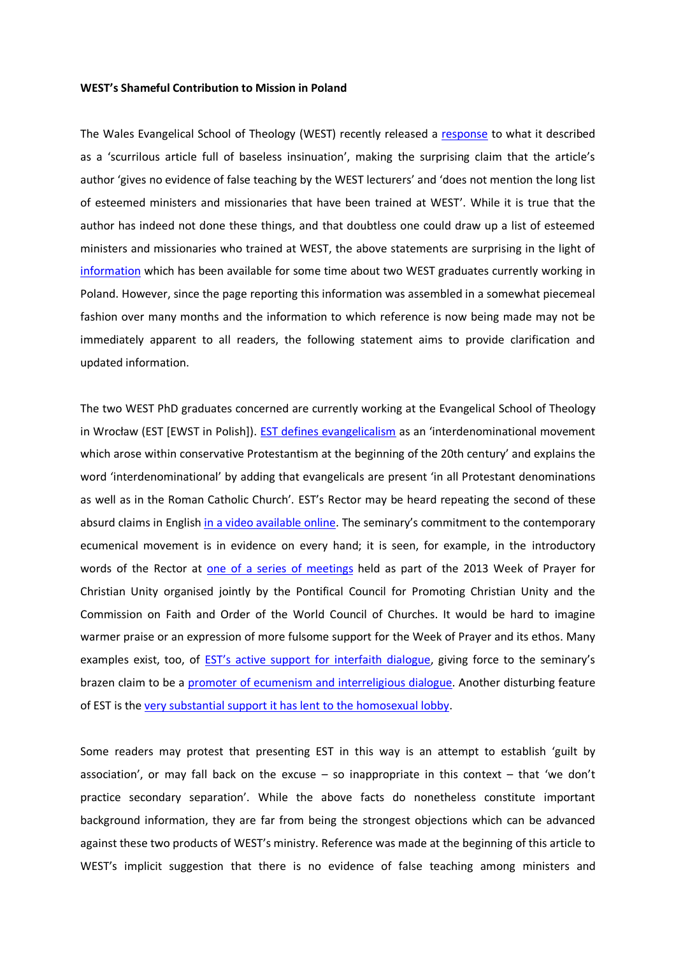## **WEST's Shameful Contribution to Mission in Poland**

The Wales Evangelical School of Theology (WEST) recently released a [response](http://www.webcitation.org/6FHXanDZB) to what it described as a 'scurrilous article full of baseless insinuation', making the surprising claim that the article's author 'gives no evidence of false teaching by the WEST lecturers' and 'does not mention the long list of esteemed ministers and missionaries that have been trained at WEST'. While it is true that the author has indeed not done these things, and that doubtless one could draw up a list of esteemed ministers and missionaries who trained at WEST, the above statements are surprising in the light of [information](http://www.strateias.org/wroclaw.htm) which has been available for some time about two WEST graduates currently working in Poland. However, since the page reporting this information was assembled in a somewhat piecemeal fashion over many months and the information to which reference is now being made may not be immediately apparent to all readers, the following statement aims to provide clarification and updated information.

The two WEST PhD graduates concerned are currently working at the Evangelical School of Theology in Wrocław (EST [EWST in Polish]). EST [defines evangelicalism](http://www.webcitation.org/6FHabUc9k) as an 'interdenominational movement which arose within conservative Protestantism at the beginning of the 20th century' and explains the word 'interdenominational' by adding that evangelicals are present 'in all Protestant denominations as well as in the Roman Catholic Church'. EST's Rector may be heard repeating the second of these absurd claims in English [in a video available online.](http://vimeo.com/10032173) The seminary's commitment to the contemporary ecumenical movement is in evidence on every hand; it is seen, for example, in the introductory words of the Rector at [one of a series of meetings](http://www.youtube.com/watch?v=EtyZwM5hAs4) held as part of the 2013 Week of Prayer for Christian Unity organised jointly by the Pontifical Council for Promoting Christian Unity and the Commission on Faith and Order of the World Council of Churches. It would be hard to imagine warmer praise or an expression of more fulsome support for the Week of Prayer and its ethos. Many examples exist, too, of EST'[s active support for interfaith](http://translate.google.com/translate?hl=en&langpair=pl%7Cen&u=http://www.islam.org.pl/mlodzi?read=157) dialogue, giving force to the seminary's brazen claim to be a [promoter of ecumenism and interreligious dialogue.](http://translate.google.com/translate?hl=en&langpair=pl%7Cen&u=http://www.fkp.ewst.pl/organizatorzy/ewst/) Another disturbing feature of EST is the [very substantial support it has lent](http://www.webcitation.org/6FHdnjYOR) to the homosexual lobby.

Some readers may protest that presenting EST in this way is an attempt to establish 'guilt by association', or may fall back on the excuse  $-$  so inappropriate in this context  $-$  that 'we don't practice secondary separation'. While the above facts do nonetheless constitute important background information, they are far from being the strongest objections which can be advanced against these two products of WEST's ministry. Reference was made at the beginning of this article to WEST's implicit suggestion that there is no evidence of false teaching among ministers and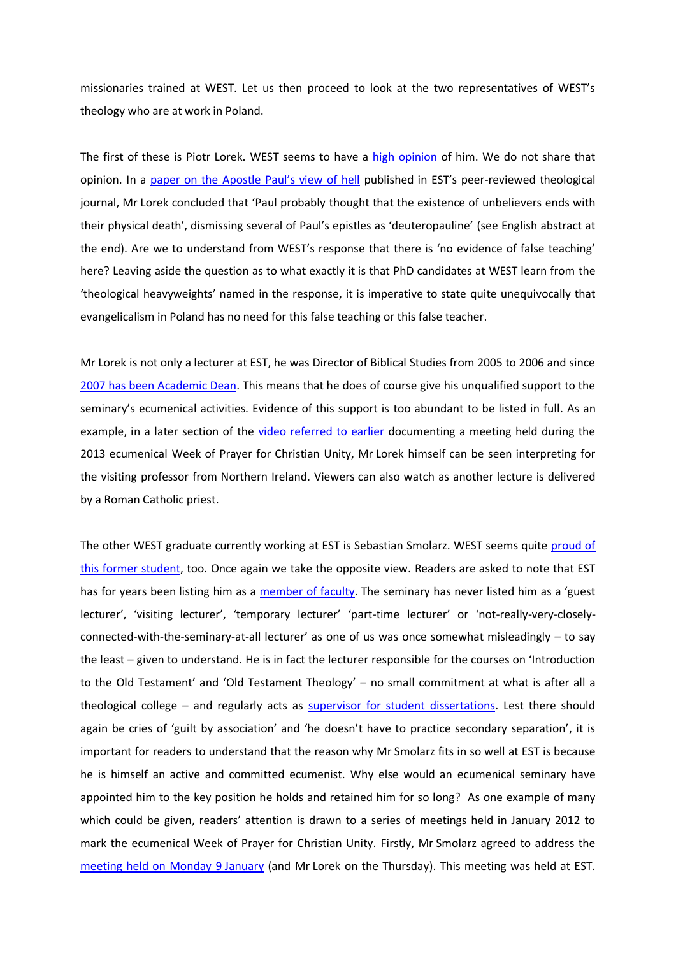missionaries trained at WEST. Let us then proceed to look at the two representatives of WEST's theology who are at work in Poland.

The first of these is Piotr Lorek. WEST seems to have a [high opinion](http://www.webcitation.org/6FHf0ZLPr) of him. We do not share that opinion. In a [paper on the](http://theologica.ewst.pl/uploads/2011/06/Lorek.P.29-38.ThW-4-2009.pdf) Apostle Paul's view of hell published in EST's peer-reviewed theological journal, Mr Lorek concluded that 'Paul probably thought that the existence of unbelievers ends with their physical death', dismissing several of Paul's epistles as 'deuteropauline' (see English abstract at the end). Are we to understand from WEST's response that there is 'no evidence of false teaching' here? Leaving aside the question as to what exactly it is that PhD candidates at WEST learn from the 'theological heavyweights' named in the response, it is imperative to state quite unequivocally that evangelicalism in Poland has no need for this false teaching or this false teacher.

Mr Lorek is not only a lecturer at EST, he was Director of Biblical Studies from 2005 to 2006 and since [2007 has been Academic Dean.](http://www.webcitation.org/6FHfvjBXf) This means that he does of course give his unqualified support to the seminary's ecumenical activities. Evidence of this support is too abundant to be listed in full. As an example, in a later section of the [video referred to earlier](http://www.youtube.com/watch?v=EtyZwM5hAs4) documenting a meeting held during the 2013 ecumenical Week of Prayer for Christian Unity, Mr Lorek himself can be seen interpreting for the visiting professor from Northern Ireland. Viewers can also watch as another lecture is delivered by a Roman Catholic priest.

The other WEST graduate currently working at EST is Sebastian Smolarz. WEST seems quite [proud of](http://www.webcitation.org/6FHf0ZLPr)  [this former student,](http://www.webcitation.org/6FHf0ZLPr) too. Once again we take the opposite view. Readers are asked to note that EST has for years been listing him as a [member of faculty.](http://www.webcitation.org/6FHfvjBXf) The seminary has never listed him as a 'guest lecturer', 'visiting lecturer', 'temporary lecturer' 'part-time lecturer' or 'not-really-very-closelyconnected-with-the-seminary-at-all lecturer' as one of us was once somewhat misleadingly – to say the least – given to understand. He is in fact the lecturer responsible for the courses on 'Introduction to the Old Testament' and 'Old Testament Theology' – no small commitment at what is after all a theological college – and regularly acts as [supervisor for student dissertations.](http://www.strateias.org/ssxls.pdf) Lest there should again be cries of 'guilt by association' and 'he doesn't have to practice secondary separation', it is important for readers to understand that the reason why Mr Smolarz fits in so well at EST is because he is himself an active and committed ecumenist. Why else would an ecumenical seminary have appointed him to the key position he holds and retained him for so long? As one example of many which could be given, readers' attention is drawn to a series of meetings held in January 2012 to mark the ecumenical Week of Prayer for Christian Unity. Firstly, Mr Smolarz agreed to address the [meeting held on Monday 9](http://www.webcitation.org/6FHlcNW0s) January (and Mr Lorek on the Thursday). This meeting was held at EST.